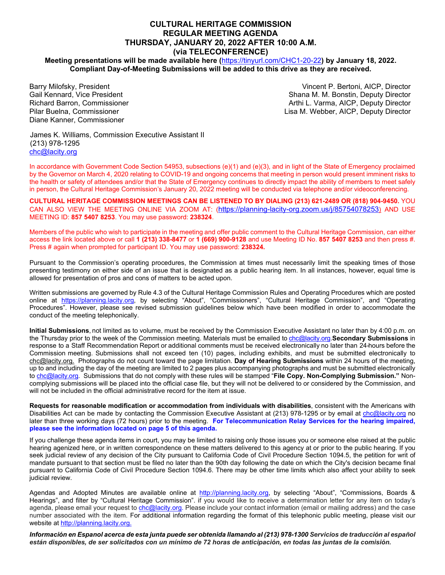### **CULTURAL HERITAGE COMMISSION REGULAR MEETING AGENDA THURSDAY, JANUARY 20, 2022 AFTER 10:00 A.M. (via TELECONFERENCE)**

**Meeting presentations will be made available here (**<https://tinyurl.com/CHC1-20-22>**) by January 18, 2022. Compliant Day-of-Meeting Submissions will be added to this drive as they are received.**

Barry Milofsky, President Gail Kennard, Vice President Richard Barron, Commissioner Pilar Buelna, Commissioner Diane Kanner, Commissioner

Vincent P. Bertoni, AICP, Director Shana M. M. Bonstin, Deputy Director Arthi L. Varma, AICP, Deputy Director Lisa M. Webber, AICP, Deputy Director

James K. Williams, Commission Executive Assistant II (213) 978-1295 [chc@lacity.org](about:blank)

In accordance with Government Code Section 54953, subsections (e)(1) and (e)(3), and in light of the State of Emergency proclaimed by the Governor on March 4, 2020 relating to COVID-19 and ongoing concerns that meeting in person would present imminent risks to the health or safety of attendees and/or that the State of Emergency continues to directly impact the ability of members to meet safely in person, the Cultural Heritage Commission's January 20, 2022 meeting will be conducted via telephone and/or videoconferencing.

**CULTURAL HERITAGE COMMISSION MEETINGS CAN BE LISTENED TO BY DIALING (213) 621-2489 OR (818) 904-9450.** YOU CAN ALSO VIEW THE MEETING ONLINE VIA ZOOM AT: [\(https://planning-lacity-org.zoom.us/j/85754078253\)](https://planning-lacity-org.zoom.us/j/85754078253) AND USE MEETING ID: **857 5407 8253**. You may use password: **238324**.

Members of the public who wish to participate in the meeting and offer public comment to the Cultural Heritage Commission, can either access the link located above or call **1 (213) 338-8477** or **1 (669) 900-9128** and use Meeting ID No. **857 5407 8253** and then press #. Press # again when prompted for participant ID. You may use password: **238324.**

Pursuant to the Commission's operating procedures, the Commission at times must necessarily limit the speaking times of those presenting testimony on either side of an issue that is designated as a public hearing item. In all instances, however, equal time is allowed for presentation of pros and cons of matters to be acted upon.

Written submissions are governed by Rule 4.3 of the Cultural Heritage Commission Rules and Operating Procedures which are posted online at [https://planning.lacity.org,](about:blank) by selecting "About", "Commissioners", "Cultural Heritage Commission", and "Operating Procedures". However, please see revised submission guidelines below which have been modified in order to accommodate the conduct of the meeting telephonically.

**Initial Submissions**, not limited as to volume, must be received by the Commission Executive Assistant no later than by 4:00 p.m. on the Thursday prior to the week of the Commission meeting. Materials must be emailed t[o chc@lacity.org.](about:blank)**Secondary Submissions** in response to a Staff Recommendation Report or additional comments must be received electronically no later than 24-hours before the Commission meeting. Submissions shall not exceed ten (10) pages, including exhibits, and must be submitted electronically to [chc@lacity.org.](about:blank) Photographs do not count toward the page limitation. **Day of Hearing Submissions** within 24 hours of the meeting, up to and including the day of the meeting are limited to 2 pages plus accompanying photographs and must be submitted electronically t[o chc@lacity.org.](about:blank) Submissions that do not comply with these rules will be stamped "**File Copy. Non-Complying Submission."** Noncomplying submissions will be placed into the official case file, but they will not be delivered to or considered by the Commission, and will not be included in the official administrative record for the item at issue.

**Requests for reasonable modification or accommodation from individuals with disabilities**, consistent with the Americans with Disabilities Act can be made by contacting the Commission Executive Assistant at (213) 978-1295 or by email at [chc@lacity.org](about:blank) no later than three working days (72 hours) prior to the meeting. **For Telecommunication Relay Services for the hearing impaired, please see the information located on page 5 of this agenda.**

If you challenge these agenda items in court, you may be limited to raising only those issues you or someone else raised at the public hearing agenized here, or in written correspondence on these matters delivered to this agency at or prior to the public hearing. If you seek judicial review of any decision of the City pursuant to California Code of Civil Procedure Section 1094.5, the petition for writ of mandate pursuant to that section must be filed no later than the 90th day following the date on which the City's decision became final pursuant to California Code of Civil Procedure Section 1094.6. There may be other time limits which also affect your ability to seek judicial review.

Agendas and Adopted Minutes are available online at http://planning.lacity.org, by selecting "About", "Commissions, Boards & Hearings", and filter by "Cultural Heritage Commission". if you would like to receive a determination letter for any item on today's agenda, please email your request to ch[c@lacity.org.](about:blank) Please include your contact information (email or mailing address) and the case number associated with the item. For additional information regarding the format of this telephonic public meeting, please visit our website a[t http://planning.lacity.org.](about:blank)

*Información en Espanol acerca de esta junta puede ser obtenida Ilamando al (213) 978-1300 Servicios de traducción al español están disponibles, de ser solicitados con un mínimo de 72 horas de anticipación, en todas las juntas de la comisión.*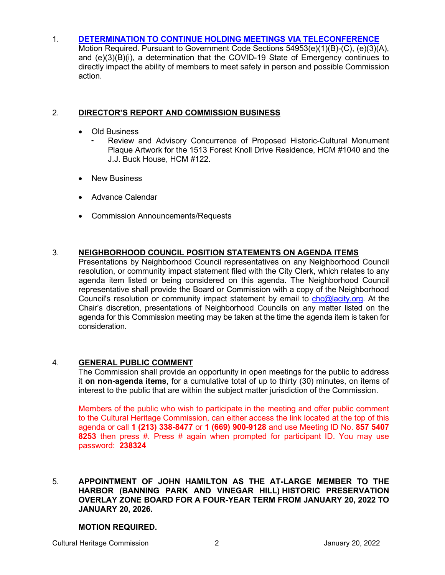# 1. **[DETERMINATION TO CONTINUE HOLDING MEETINGS VIA TELECONFERENCE](https://planning.lacity.org/plndoc/Staff_Reports/2022/01-20-2022/Item__01___CHC___Resolution_1.20.22.pdf)**

Motion Required. Pursuant to Government Code Sections 54953(e)(1)(B)-(C), (e)(3)(A), and (e)(3)(B)(i), a determination that the COVID-19 State of Emergency continues to directly impact the ability of members to meet safely in person and possible Commission action.

# 2. **DIRECTOR'S REPORT AND COMMISSION BUSINESS**

- Old Business
	- Review and Advisory Concurrence of Proposed Historic-Cultural Monument Plaque Artwork for the 1513 Forest Knoll Drive Residence, HCM #1040 and the J.J. Buck House, HCM #122.
- New Business
- Advance Calendar
- Commission Announcements/Requests

## 3. **NEIGHBORHOOD COUNCIL POSITION STATEMENTS ON AGENDA ITEMS**

Presentations by Neighborhood Council representatives on any Neighborhood Council resolution, or community impact statement filed with the City Clerk, which relates to any agenda item listed or being considered on this agenda. The Neighborhood Council representative shall provide the Board or Commission with a copy of the Neighborhood Council's resolution or community impact statement by email to [chc@lacity.org.](about:blank) At the Chair's discretion, presentations of Neighborhood Councils on any matter listed on the agenda for this Commission meeting may be taken at the time the agenda item is taken for consideration.

## 4. **GENERAL PUBLIC COMMENT**

The Commission shall provide an opportunity in open meetings for the public to address it **on non-agenda items**, for a cumulative total of up to thirty (30) minutes, on items of interest to the public that are within the subject matter jurisdiction of the Commission.

Members of the public who wish to participate in the meeting and offer public comment to the Cultural Heritage Commission, can either access the link located at the top of this agenda or call **1 (213) 338-8477** or **1 (669) 900-9128** and use Meeting ID No. **857 5407 8253** then press #. Press # again when prompted for participant ID. You may use password: **238324**

## 5. **APPOINTMENT OF JOHN HAMILTON AS THE AT-LARGE MEMBER TO THE HARBOR (BANNING PARK AND VINEGAR HILL) HISTORIC PRESERVATION OVERLAY ZONE BOARD FOR A FOUR-YEAR TERM FROM JANUARY 20, 2022 TO JANUARY 20, 2026.**

### **MOTION REQUIRED.**

Cultural Heritage Commission 2 January 20, 2022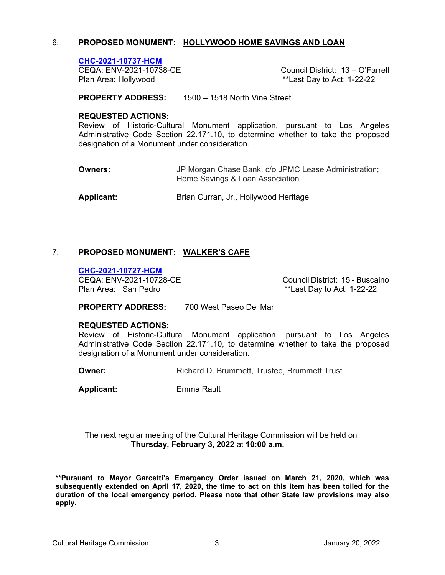# 6. **PROPOSED MONUMENT: [HOLLYWOOD HOME SAVINGS AND LOAN](https://planning.lacity.org/plndoc/Staff_Reports/2022/01-20-2022/CHC_2021_10737_HCM_Hollywood_Home_Savings_and_Loan_UC.pdf)**

**CHC-2021-10737-HCM** Plan Area: Hollywood **Exercise 20** and the state of the state of the state Play to Act: 1-22-22

Council District: 13 – O'Farrell

**PROPERTY ADDRESS:** 1500 – 1518 North Vine Street

### **REQUESTED ACTIONS:**

Review of Historic-Cultural Monument application, pursuant to Los Angeles Administrative Code Section 22.171.10, to determine whether to take the proposed designation of a Monument under consideration.

**Owners: JP Morgan Chase Bank, c/o JPMC Lease Administration;** Home Savings & Loan Association

Applicant: Brian Curran, Jr., Hollywood Heritage

# 7. **[PROPOSED MONUMENT:](https://planning.lacity.org/plndoc/Staff_Reports/2022/01-20-2022/CHC_2021_10727_HCM_Walker_s_Cafe_UC.pdf) WALKER'S CAFE**

**CHC-2021-10727-HCM**

CEQA: ENV-2021-10728-CE CEQA: Council District: 15 - Buscaino<br>Plan Area: San Pedro Care Council New York 1-22-22  $*$ Last Day to Act: 1-22-22

**PROPERTY ADDRESS:** 700 West Paseo Del Mar

### **REQUESTED ACTIONS:**

Review of Historic-Cultural Monument application, pursuant to Los Angeles Administrative Code Section 22.171.10, to determine whether to take the proposed designation of a Monument under consideration.

**Owner: Richard D. Brummett, Trustee, Brummett Trust** 

**Applicant:** Emma Rault

The next regular meeting of the Cultural Heritage Commission will be held on **Thursday, February 3, 2022** at **10:00 a.m.**

**\*\*Pursuant to Mayor Garcetti's Emergency Order issued on March 21, 2020, which was subsequently extended on April 17, 2020, the time to act on this item has been tolled for the duration of the local emergency period. Please note that other State law provisions may also apply.**